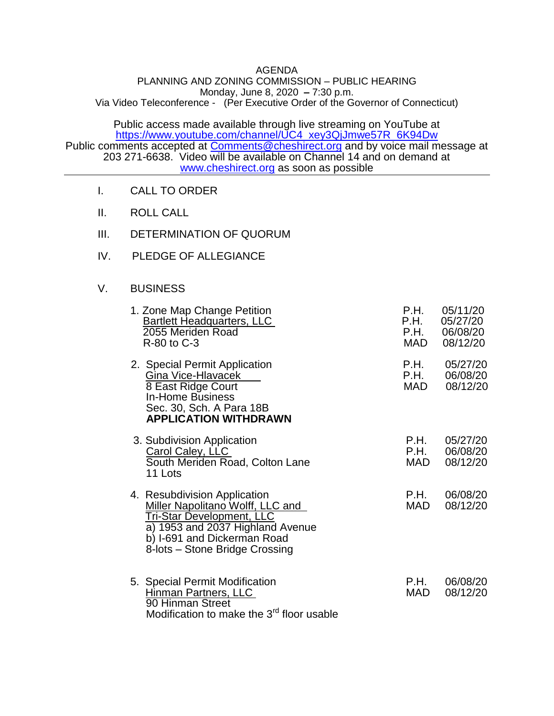## AGENDA

## PLANNING AND ZONING COMMISSION – PUBLIC HEARING Monday, June 8, 2020 **–** 7:30 p.m. Via Video Teleconference - (Per Executive Order of the Governor of Connecticut)

Public access made available through live streaming on YouTube at [https://www.youtube.com/channel/UC4\\_xey3QjJmwe57R\\_6K94Dw](https://www.youtube.com/channel/UC4_xey3QjJmwe57R_6K94Dw) Public comments accepted at [Comments@cheshirect.org](mailto:Comments@cheshirect.org) and by voice mail message at 203 271-6638. Video will be available on Channel 14 and on demand at [www.cheshirect.org](http://www.cheshirect.org/) as soon as possible

- I. CALL TO ORDER
- II. ROLL CALL
- III. DETERMINATION OF QUORUM
- IV. PLEDGE OF ALLEGIANCE

## V. BUSINESS

| 1. Zone Map Change Petition<br>Bartlett Headquarters, LLC<br>2055 Meriden Road<br>R-80 to C-3                                                                                                                    | P.H.<br>P.H.<br>P.H.<br>MAD | 05/11/20<br>05/27/20<br>06/08/20<br>08/12/20 |
|------------------------------------------------------------------------------------------------------------------------------------------------------------------------------------------------------------------|-----------------------------|----------------------------------------------|
| 2. Special Permit Application<br>Gina Vice-Hlavacek<br>8 East Ridge Court<br><b>In-Home Business</b><br>Sec. 30, Sch. A Para 18B<br><b>APPLICATION WITHDRAWN</b>                                                 | P.H.<br>P.H.<br>MAD         | 05/27/20<br>06/08/20<br>08/12/20             |
| 3. Subdivision Application<br>Carol Caley, LLC<br>South Meriden Road, Colton Lane<br>11 Lots                                                                                                                     | P.H.<br>P.H.<br>MAD         | 05/27/20<br>06/08/20<br>08/12/20             |
| 4. Resubdivision Application<br><b>Miller Napolitano Wolff, LLC and</b><br><b>Tri-Star Development, LLC</b><br>a) 1953 and 2037 Highland Avenue<br>b) I-691 and Dickerman Road<br>8-lots – Stone Bridge Crossing | P.H.<br><b>MAD</b>          | 06/08/20<br>08/12/20                         |
| 5. Special Permit Modification<br>Hinman Partners, LLC<br>90 Hinman Street<br>Modification to make the 3 <sup>rd</sup> floor usable                                                                              | P.H.<br><b>MAD</b>          | 06/08/20<br>08/12/20                         |